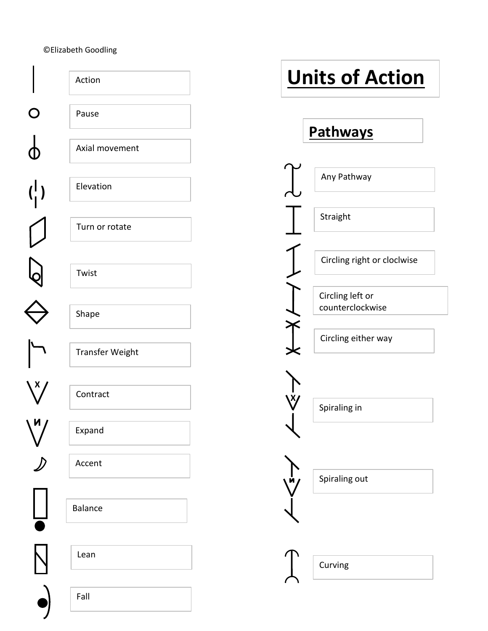## ©Elizabeth Goodling

| Action          | <b>Units of Action</b>               |
|-----------------|--------------------------------------|
| Pause           | Pathways                             |
| Axial movement  |                                      |
| Elevation       | Any Pathway                          |
| Turn or rotate  | Straight                             |
| Twist           | Circling right or cloclwise          |
| Shape           | Circling left or<br>counterclockwise |
| Transfer Weight | Circling either way                  |
| Contract        | Spiraling in                         |
| Expand          |                                      |
| Accent          | Spiraling out                        |
| Balance         |                                      |
| Lean            | Curving                              |
| Fall            |                                      |